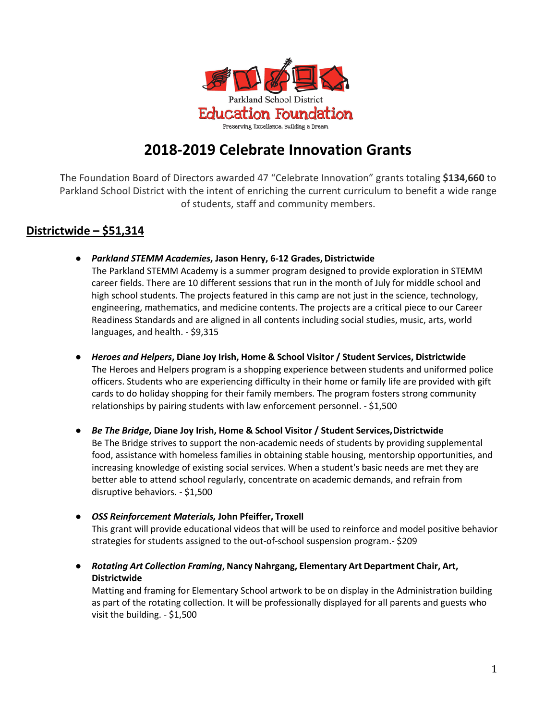

# **2018-2019 Celebrate Innovation Grants**

The Foundation Board of Directors awarded 47 "Celebrate Innovation" grants totaling **\$134,660** to Parkland School District with the intent of enriching the current curriculum to benefit a wide range of students, staff and community members.

# **Districtwide – \$51,314**

● *Parkland STEMM Academies***, Jason Henry, 6-12 Grades, Districtwide**

The Parkland STEMM Academy is a summer program designed to provide exploration in STEMM career fields. There are 10 different sessions that run in the month of July for middle school and high school students. The projects featured in this camp are not just in the science, technology, engineering, mathematics, and medicine contents. The projects are a critical piece to our Career Readiness Standards and are aligned in all contents including social studies, music, arts, world languages, and health. - \$9,315

**●** *Heroes and Helpers***, Diane Joy Irish, Home & School Visitor / Student Services, Districtwide** The Heroes and Helpers program is a shopping experience between students and uniformed police officers. Students who are experiencing difficulty in their home or family life are provided with gift cards to do holiday shopping for their family members. The program fosters strong community relationships by pairing students with law enforcement personnel. - \$1,500

● *Be The Bridge***, Diane Joy Irish, Home & School Visitor / Student Services,Districtwide** Be The Bridge strives to support the non-academic needs of students by providing supplemental food, assistance with homeless families in obtaining stable housing, mentorship opportunities, and increasing knowledge of existing social services. When a student's basic needs are met they are better able to attend school regularly, concentrate on academic demands, and refrain from disruptive behaviors. - \$1,500

- *● OSS Reinforcement Materials,* **John Pfeiffer, Troxell** This grant will provide educational videos that will be used to reinforce and model positive behavior strategies for students assigned to the out-of-school suspension program.- \$209
- **●** *Rotating Art Collection Framing***, Nancy Nahrgang, Elementary Art Department Chair, Art, Districtwide**

Matting and framing for Elementary School artwork to be on display in the Administration building as part of the rotating collection. It will be professionally displayed for all parents and guests who visit the building. - \$1,500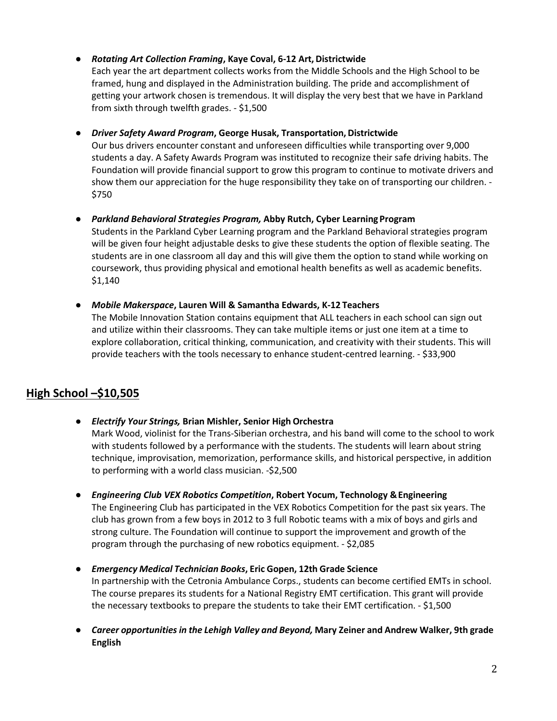# **●** *Rotating Art Collection Framing***, Kaye Coval, 6-12 Art, Districtwide**

Each year the art department collects works from the Middle Schools and the High School to be framed, hung and displayed in the Administration building. The pride and accomplishment of getting your artwork chosen is tremendous. It will display the very best that we have in Parkland from sixth through twelfth grades. - \$1,500

# **•** *Driver Safety Award Program*, George Husak, Transportation, Districtwide

Our bus drivers encounter constant and unforeseen difficulties while transporting over 9,000 students a day. A Safety Awards Program was instituted to recognize their safe driving habits. The Foundation will provide financial support to grow this program to continue to motivate drivers and show them our appreciation for the huge responsibility they take on of transporting our children. - \$750

*● Parkland Behavioral Strategies Program,* **Abby Rutch, Cyber Learning Program** Students in the Parkland Cyber Learning program and the Parkland Behavioral strategies program will be given four height adjustable desks to give these students the option of flexible seating. The students are in one classroom all day and this will give them the option to stand while working on coursework, thus providing physical and emotional health benefits as well as academic benefits. \$1,140

# **●** *Mobile Makerspace***, Lauren Will & Samantha Edwards, K-12 Teachers**

The Mobile Innovation Station contains equipment that ALL teachers in each school can sign out and utilize within their classrooms. They can take multiple items or just one item at a time to explore collaboration, critical thinking, communication, and creativity with their students. This will provide teachers with the tools necessary to enhance student-centred learning. - \$33,900

# **High School –\$10,505**

# **●** *Electrify Your Strings,* **Brian Mishler, Senior High Orchestra** Mark Wood, violinist for the Trans-Siberian orchestra, and his band will come to the school to work with students followed by a performance with the students. The students will learn about string technique, improvisation, memorization, performance skills, and historical perspective, in addition to performing with a world class musician. -\$2,500

- **●** *Engineering Club VEX Robotics Competition***, Robert Yocum, Technology &Engineering** The Engineering Club has participated in the VEX Robotics Competition for the past six years. The club has grown from a few boys in 2012 to 3 full Robotic teams with a mix of boys and girls and strong culture. The Foundation will continue to support the improvement and growth of the program through the purchasing of new robotics equipment. - \$2,085
- *Emergency Medical Technician Books***, Eric Gopen, 12th Grade Science** In partnership with the Cetronia Ambulance Corps., students can become certified EMTs in school. The course prepares its students for a National Registry EMT certification. This grant will provide the necessary textbooks to prepare the students to take their EMT certification. - \$1,500
- *● Career opportunitiesin the Lehigh Valley and Beyond,* **Mary Zeiner and Andrew Walker, 9th grade English**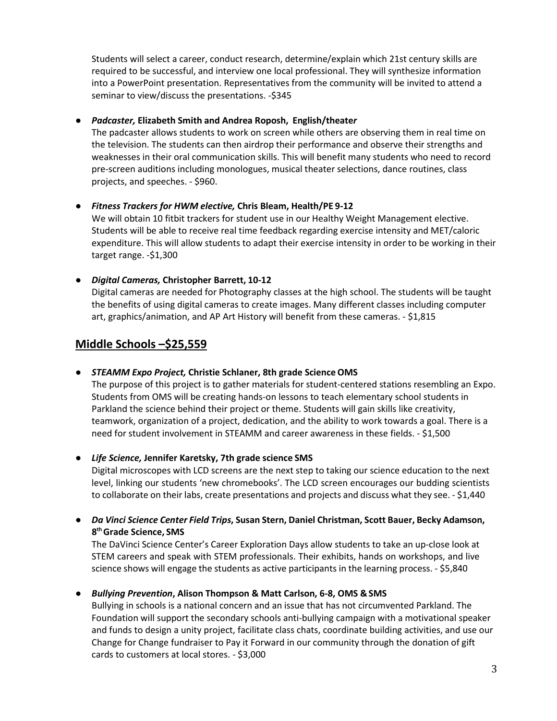Students will select a career, conduct research, determine/explain which 21st century skills are required to be successful, and interview one local professional. They will synthesize information into a PowerPoint presentation. Representatives from the community will be invited to attend a seminar to view/discuss the presentations. -\$345

#### *● Padcaster,* **Elizabeth Smith and Andrea Roposh, English/theate***r*

The padcaster allows students to work on screen while others are observing them in real time on the television. The students can then airdrop their performance and observe their strengths and weaknesses in their oral communication skills. This will benefit many students who need to record pre-screen auditions including monologues, musical theater selections, dance routines, class projects, and speeches. - \$960.

#### *● Fitness Trackers for HWM elective,* **Chris Bleam, Health/PE 9-12**

We will obtain 10 fitbit trackers for student use in our Healthy Weight Management elective. Students will be able to receive real time feedback regarding exercise intensity and MET/caloric expenditure. This will allow students to adapt their exercise intensity in order to be working in their target range. -\$1,300

#### *● Digital Cameras,* **Christopher Barrett, 10-12**

Digital cameras are needed for Photography classes at the high school. The students will be taught the benefits of using digital cameras to create images. Many different classes including computer art, graphics/animation, and AP Art History will benefit from these cameras. - \$1,815

# **Middle Schools –\$25,559**

#### **●** *STEAMM Expo Project,* **Christie Schlaner, 8th grade Science OMS**

The purpose of this project is to gather materials for student-centered stations resembling an Expo. Students from OMS will be creating hands-on lessons to teach elementary school students in Parkland the science behind their project or theme. Students will gain skills like creativity, teamwork, organization of a project, dedication, and the ability to work towards a goal. There is a need for student involvement in STEAMM and career awareness in these fields. - \$1,500

#### **●** *Life Science,* **Jennifer Karetsky, 7th grade science SMS**

Digital microscopes with LCD screens are the next step to taking our science education to the next level, linking our students 'new chromebooks'. The LCD screen encourages our budding scientists to collaborate on their labs, create presentations and projects and discuss what they see. - \$1,440

**●** *Da Vinci Science Center Field Trips***, Susan Stern, Daniel Christman, Scott Bauer, Becky Adamson, 8th Grade Science, SMS**

The DaVinci Science Center's Career Exploration Days allow students to take an up-close look at STEM careers and speak with STEM professionals. Their exhibits, hands on workshops, and live science shows will engage the students as active participants in the learning process. - \$5,840

#### **●** *Bullying Prevention***, Alison Thompson & Matt Carlson, 6-8, OMS & SMS**

Bullying in schools is a national concern and an issue that has not circumvented Parkland. The Foundation will support the secondary schools anti-bullying campaign with a motivational speaker and funds to design a unity project, facilitate class chats, coordinate building activities, and use our Change for Change fundraiser to Pay it Forward in our community through the donation of gift cards to customers at local stores. - \$3,000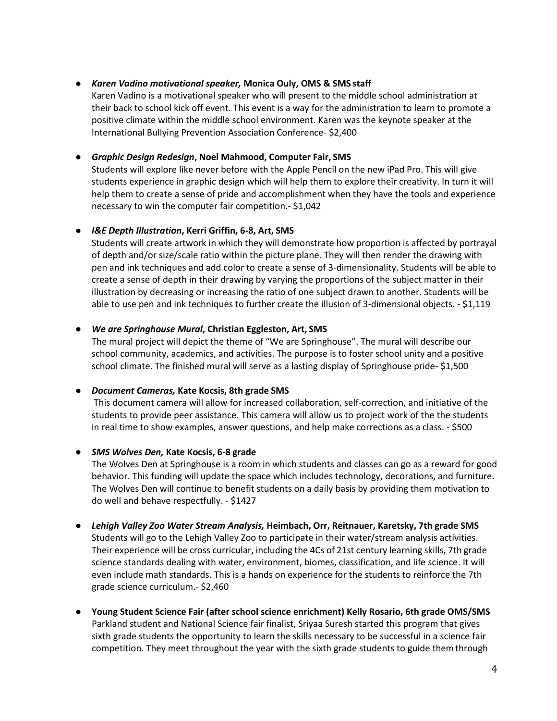#### ● *Karen Vadino motivational speaker,* **Monica Ouly, OMS & SMS staff**

Karen Vadino is a motivational speaker who will present to the middle school administration at their back to school kick off event. This event is a way for the administration to learn to promote a positive climate within the middle school environment. Karen was the keynote speaker at the International Bullying Prevention Association Conference- \$2,400

# ● *Graphic Design Redesign***, Noel Mahmood, Computer Fair, SMS**

Students will explore like never before with the Apple Pencil on the new iPad Pro. This will give students experience in graphic design which will help them to explore their creativity. In turn it will help them to create a sense of pride and accomplishment when they have the tools and experience necessary to win the computer fair competition.- \$1,042

#### **●** *I&E Depth Illustration***, Kerri Griffin, 6-8, Art, SMS**

Students will create artwork in which they will demonstrate how proportion is affected by portrayal of depth and/or size/scale ratio within the picture plane. They will then render the drawing with pen and ink techniques and add color to create a sense of 3-dimensionality. Students will be able to create a sense of depth in their drawing by varying the proportions of the subject matter in their illustration by decreasing or increasing the ratio of one subject drawn to another. Students will be able to use pen and ink techniques to further create the illusion of 3-dimensional objects. - \$1,119

#### ● *We are Springhouse Mural***, Christian Eggleston, Art, SMS**

The mural project will depict the theme of "We are Springhouse". The mural will describe our school community, academics, and activities. The purpose is to foster school unity and a positive school climate. The finished mural will serve as a lasting display of Springhouse pride- \$1,500

#### *● Document Cameras,* **Kate Kocsis, 8th grade SMS**

This document camera will allow for increased collaboration, self-correction, and initiative of the students to provide peer assistance. This camera will allow us to project work of the the students in real time to show examples, answer questions, and help make corrections as a class. - \$500

#### ● *SMS Wolves Den,* **Kate Kocsis, 6-8 grade**

The Wolves Den at Springhouse is a room in which students and classes can go as a reward for good behavior. This funding will update the space which includes technology, decorations, and furniture. The Wolves Den will continue to benefit students on a daily basis by providing them motivation to do well and behave respectfully. - \$1427

#### *● Lehigh Valley Zoo Water Stream Analysis,* **Heimbach, Orr, Reitnauer, Karetsky, 7th grade SMS**

Students will go to the Lehigh Valley Zoo to participate in their water/stream analysis activities. Their experience will be cross curricular, including the 4Cs of 21st century learning skills, 7th grade science standards dealing with water, environment, biomes, classification, and life science. It will even include math standards. This is a hands on experience for the students to reinforce the 7th grade science curriculum.- \$2,460

**● Young Student Science Fair (after school science enrichment) Kelly Rosario, 6th grade OMS/SMS**  Parkland student and National Science fair finalist, Sriyaa Suresh started this program that gives sixth grade students the opportunity to learn the skills necessary to be successful in a science fair competition. They meet throughout the year with the sixth grade students to guide themthrough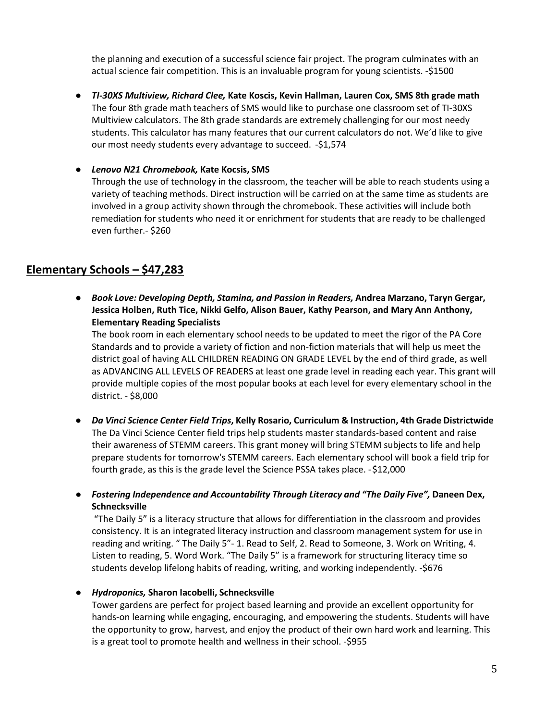the planning and execution of a successful science fair project. The program culminates with an actual science fair competition. This is an invaluable program for young scientists. -\$1500

*● TI-30XS Multiview, Richard Clee,* **Kate Koscis, Kevin Hallman, Lauren Cox, SMS 8th grade math**  The four 8th grade math teachers of SMS would like to purchase one classroom set of TI-30XS Multiview calculators. The 8th grade standards are extremely challenging for our most needy students. This calculator has many features that our current calculators do not. We'd like to give our most needy students every advantage to succeed. -\$1,574

#### *● Lenovo N21 Chromebook,* **Kate Kocsis, SMS**

Through the use of technology in the classroom, the teacher will be able to reach students using a variety of teaching methods. Direct instruction will be carried on at the same time as students are involved in a group activity shown through the chromebook. These activities will include both remediation for students who need it or enrichment for students that are ready to be challenged even further.- \$260

# **Elementary Schools – \$47,283**

**●** *Book Love: Developing Depth, Stamina, and Passion in Readers,* **Andrea Marzano, Taryn Gergar, Jessica Holben, Ruth Tice, Nikki Gelfo, Alison Bauer, Kathy Pearson, and Mary Ann Anthony, Elementary Reading Specialists**

The book room in each elementary school needs to be updated to meet the rigor of the PA Core Standards and to provide a variety of fiction and non-fiction materials that will help us meet the district goal of having ALL CHILDREN READING ON GRADE LEVEL by the end of third grade, as well as ADVANCING ALL LEVELS OF READERS at least one grade level in reading each year. This grant will provide multiple copies of the most popular books at each level for every elementary school in the district. - \$8,000

**●** *Da Vinci Science Center Field Trips***, Kelly Rosario, Curriculum & Instruction, 4th Grade Districtwide**  The Da Vinci Science Center field trips help students master standards-based content and raise their awareness of STEMM careers. This grant money will bring STEMM subjects to life and help prepare students for tomorrow's STEMM careers. Each elementary school will book a field trip for fourth grade, as this is the grade level the Science PSSA takes place. -\$12,000

● *Fostering Independence and Accountability Through Literacy and "The Daily Five",* **Daneen Dex, Schnecksville**

"The Daily 5" is a literacy structure that allows for differentiation in the classroom and provides consistency. It is an integrated literacy instruction and classroom management system for use in reading and writing. " The Daily 5"- 1. Read to Self, 2. Read to Someone, 3. Work on Writing, 4. Listen to reading, 5. Word Work. "The Daily 5" is a framework for structuring literacy time so students develop lifelong habits of reading, writing, and working independently. -\$676

# ● *Hydroponics,* **Sharon Iacobelli, Schnecksville**

Tower gardens are perfect for project based learning and provide an excellent opportunity for hands-on learning while engaging, encouraging, and empowering the students. Students will have the opportunity to grow, harvest, and enjoy the product of their own hard work and learning. This is a great tool to promote health and wellness in their school. -\$955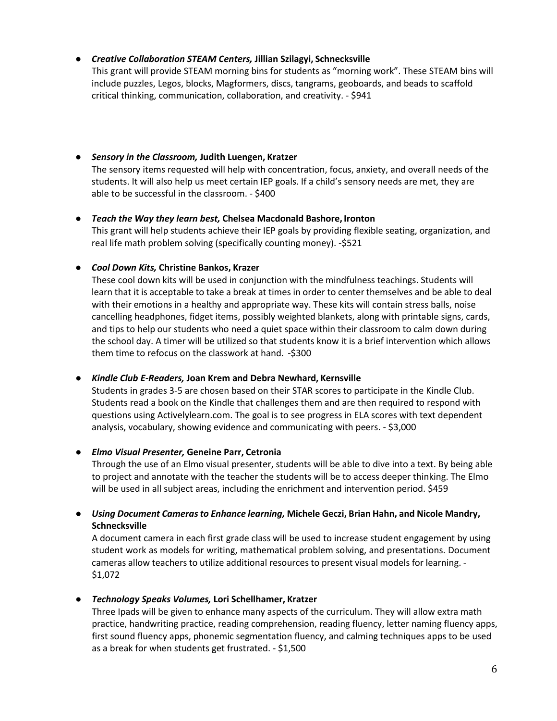# ● *Creative Collaboration STEAM Centers,* **Jillian Szilagyi, Schnecksville**

This grant will provide STEAM morning bins for students as "morning work". These STEAM bins will include puzzles, Legos, blocks, Magformers, discs, tangrams, geoboards, and beads to scaffold critical thinking, communication, collaboration, and creativity. - \$941

- *Sensory in the Classroom,* **Judith Luengen, Kratzer** The sensory items requested will help with concentration, focus, anxiety, and overall needs of the students. It will also help us meet certain IEP goals. If a child's sensory needs are met, they are able to be successful in the classroom. - \$400
- *Teach the Way they learn best,* **Chelsea Macdonald Bashore, Ironton** This grant will help students achieve their IEP goals by providing flexible seating, organization, and real life math problem solving (specifically counting money). -\$521

# ● *Cool Down Kits,* **Christine Bankos, Krazer**

These cool down kits will be used in conjunction with the mindfulness teachings. Students will learn that it is acceptable to take a break at times in order to center themselves and be able to deal with their emotions in a healthy and appropriate way. These kits will contain stress balls, noise cancelling headphones, fidget items, possibly weighted blankets, along with printable signs, cards, and tips to help our students who need a quiet space within their classroom to calm down during the school day. A timer will be utilized so that students know it is a brief intervention which allows them time to refocus on the classwork at hand. -\$300

# ● *Kindle Club E-Readers,* **Joan Krem and Debra Newhard, Kernsville**

Students in grades 3-5 are chosen based on their STAR scores to participate in the Kindle Club. Students read a book on the Kindle that challenges them and are then required to respond with questions using Activelylearn.com. The goal is to see progress in ELA scores with text dependent analysis, vocabulary, showing evidence and communicating with peers. - \$3,000

# ● *Elmo Visual Presenter,* **Geneine Parr, Cetronia**

Through the use of an Elmo visual presenter, students will be able to dive into a text. By being able to project and annotate with the teacher the students will be to access deeper thinking. The Elmo will be used in all subject areas, including the enrichment and intervention period. \$459

● *Using Document Camerasto Enhance learning,* **Michele Geczi, Brian Hahn, and Nicole Mandry, Schnecksville**

A document camera in each first grade class will be used to increase student engagement by using student work as models for writing, mathematical problem solving, and presentations. Document cameras allow teachers to utilize additional resources to present visual models for learning. - \$1,072

# ● *Technology Speaks Volumes,* **Lori Schellhamer, Kratzer**

Three Ipads will be given to enhance many aspects of the curriculum. They will allow extra math practice, handwriting practice, reading comprehension, reading fluency, letter naming fluency apps, first sound fluency apps, phonemic segmentation fluency, and calming techniques apps to be used as a break for when students get frustrated. - \$1,500